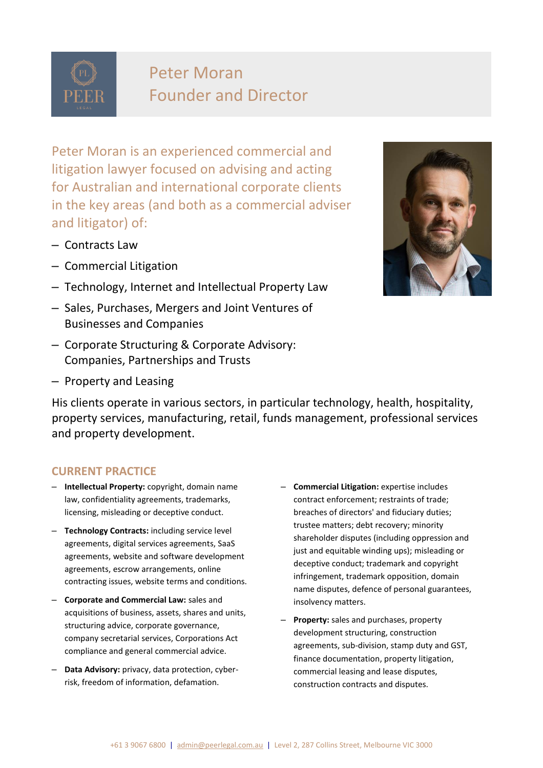

# Peter Moran Founder and Director

Peter Moran is an experienced commercial and litigation lawyer focused on advising and acting for Australian and international corporate clients in the key areas (and both as a commercial adviser and litigator) of:

- Contracts Law
- Commercial Litigation
- Technology, Internet and Intellectual Property Law
- Sales, Purchases, Mergers and Joint Ventures of Businesses and Companies
- Corporate Structuring & Corporate Advisory: Companies, Partnerships and Trusts
- Property and Leasing

His clients operate in various sectors, in particular technology, health, hospitality, property services, manufacturing, retail, funds management, professional services and property development.

## **CURRENT PRACTICE**

- **Intellectual Property:** copyright, domain name law, confidentiality agreements, trademarks, licensing, misleading or deceptive conduct.
- **Technology Contracts:** including service level agreements, digital services agreements, SaaS agreements, website and software development agreements, escrow arrangements, online contracting issues, website terms and conditions.
- **Corporate and Commercial Law:** sales and acquisitions of business, assets, shares and units, structuring advice, corporate governance, company secretarial services, Corporations Act compliance and general commercial advice.
- **Data Advisory:** privacy, data protection, cyberrisk, freedom of information, defamation.
- **Commercial Litigation:** expertise includes contract enforcement; restraints of trade; breaches of directors' and fiduciary duties; trustee matters; debt recovery; minority shareholder disputes (including oppression and just and equitable winding ups); misleading or deceptive conduct; trademark and copyright infringement, trademark opposition, domain name disputes, defence of personal guarantees, insolvency matters.
- **Property:** sales and purchases, property development structuring, construction agreements, sub-division, stamp duty and GST, finance documentation, property litigation, commercial leasing and lease disputes, construction contracts and disputes.